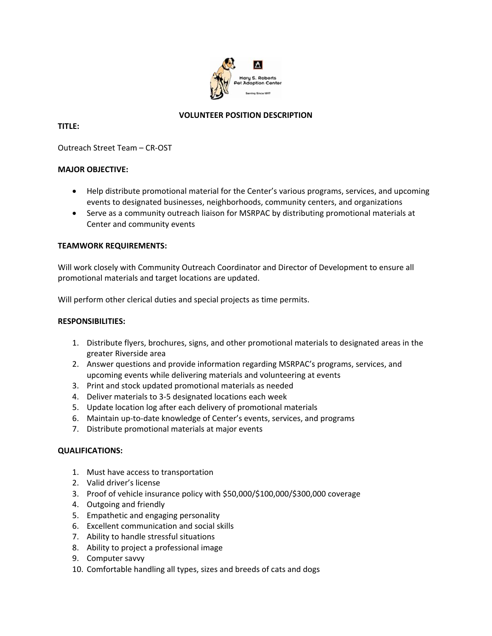

# **VOLUNTEER POSITION DESCRIPTION**

# **TITLE:**

Outreach Street Team – CR‐OST

# **MAJOR OBJECTIVE:**

- Help distribute promotional material for the Center's various programs, services, and upcoming events to designated businesses, neighborhoods, community centers, and organizations
- Serve as a community outreach liaison for MSRPAC by distributing promotional materials at Center and community events

### **TEAMWORK REQUIREMENTS:**

Will work closely with Community Outreach Coordinator and Director of Development to ensure all promotional materials and target locations are updated.

Will perform other clerical duties and special projects as time permits.

#### **RESPONSIBILITIES:**

- 1. Distribute flyers, brochures, signs, and other promotional materials to designated areas in the greater Riverside area
- 2. Answer questions and provide information regarding MSRPAC's programs, services, and upcoming events while delivering materials and volunteering at events
- 3. Print and stock updated promotional materials as needed
- 4. Deliver materials to 3‐5 designated locations each week
- 5. Update location log after each delivery of promotional materials
- 6. Maintain up-to-date knowledge of Center's events, services, and programs
- 7. Distribute promotional materials at major events

### **QUALIFICATIONS:**

- 1. Must have access to transportation
- 2. Valid driver's license
- 3. Proof of vehicle insurance policy with \$50,000/\$100,000/\$300,000 coverage
- 4. Outgoing and friendly
- 5. Empathetic and engaging personality
- 6. Excellent communication and social skills
- 7. Ability to handle stressful situations
- 8. Ability to project a professional image
- 9. Computer savvy
- 10. Comfortable handling all types, sizes and breeds of cats and dogs